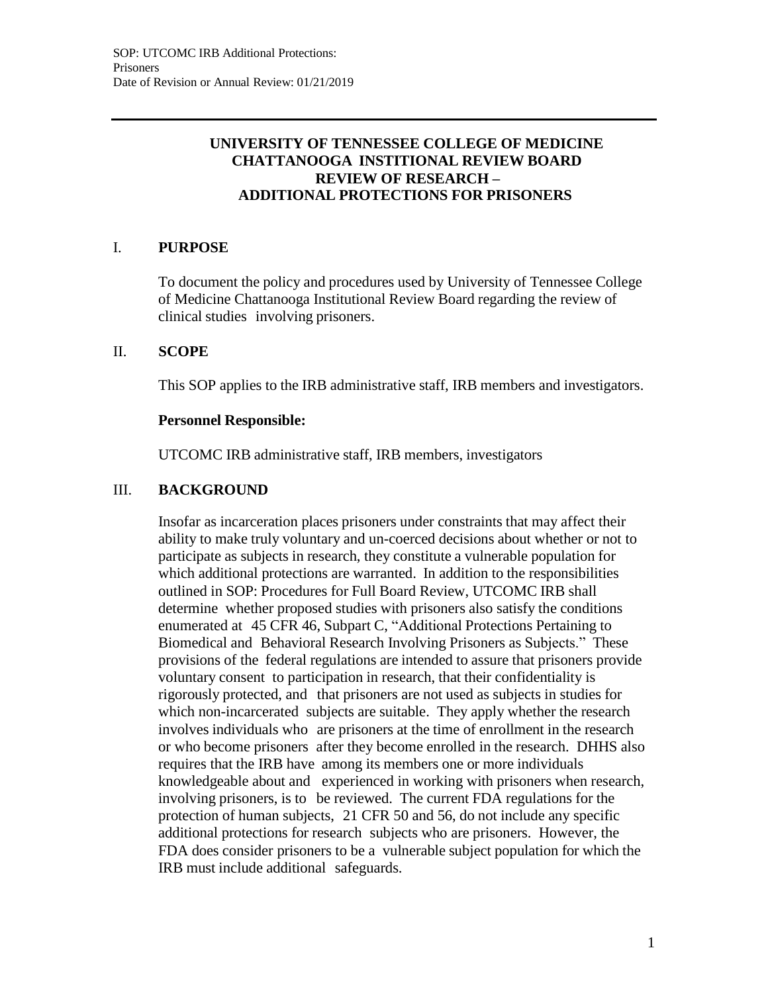# **UNIVERSITY OF TENNESSEE COLLEGE OF MEDICINE CHATTANOOGA INSTITIONAL REVIEW BOARD REVIEW OF RESEARCH – ADDITIONAL PROTECTIONS FOR PRISONERS**

# I. **PURPOSE**

To document the policy and procedures used by University of Tennessee College of Medicine Chattanooga Institutional Review Board regarding the review of clinical studies involving prisoners.

## II. **SCOPE**

This SOP applies to the IRB administrative staff, IRB members and investigators.

#### **Personnel Responsible:**

UTCOMC IRB administrative staff, IRB members, investigators

# III. **BACKGROUND**

Insofar as incarceration places prisoners under constraints that may affect their ability to make truly voluntary and un-coerced decisions about whether or not to participate as subjects in research, they constitute a vulnerable population for which additional protections are warranted. In addition to the responsibilities outlined in SOP: Procedures for Full Board Review, UTCOMC IRB shall determine whether proposed studies with prisoners also satisfy the conditions enumerated at 45 CFR 46, Subpart C, "Additional Protections Pertaining to Biomedical and Behavioral Research Involving Prisoners as Subjects." These provisions of the federal regulations are intended to assure that prisoners provide voluntary consent to participation in research, that their confidentiality is rigorously protected, and that prisoners are not used as subjects in studies for which non-incarcerated subjects are suitable. They apply whether the research involves individuals who are prisoners at the time of enrollment in the research or who become prisoners after they become enrolled in the research. DHHS also requires that the IRB have among its members one or more individuals knowledgeable about and experienced in working with prisoners when research, involving prisoners, is to be reviewed. The current FDA regulations for the protection of human subjects, 21 CFR 50 and 56, do not include any specific additional protections for research subjects who are prisoners. However, the FDA does consider prisoners to be a vulnerable subject population for which the IRB must include additional safeguards.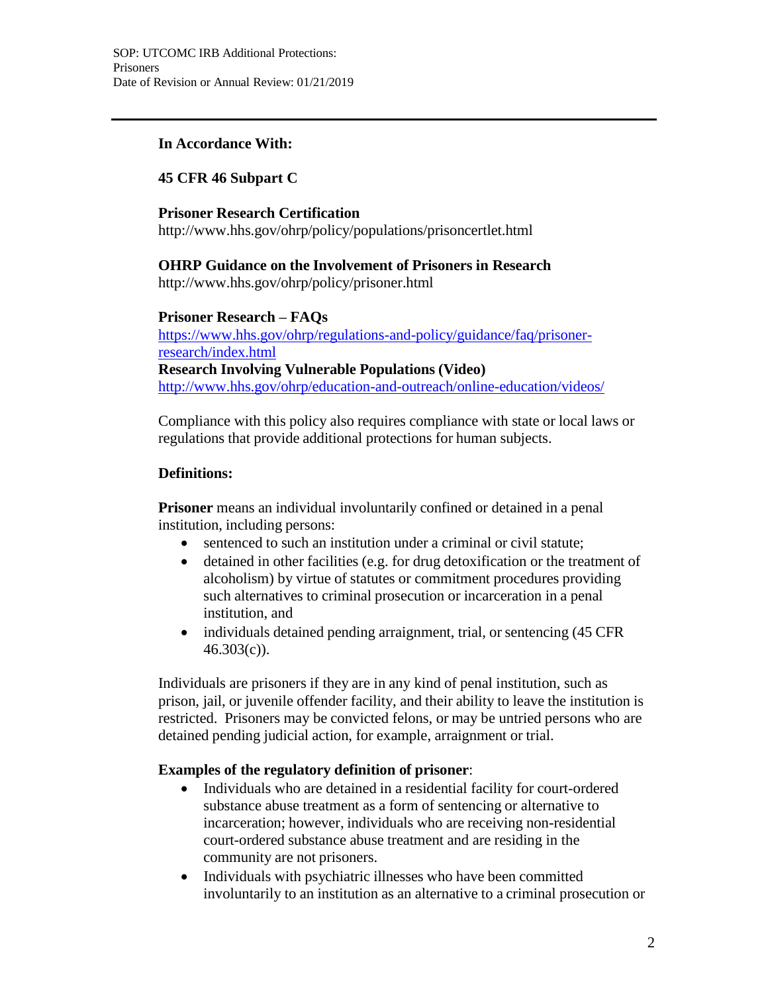# **In Accordance With:**

# **45 CFR 46 Subpart C**

#### **Prisoner Research Certification**

<http://www.hhs.gov/ohrp/policy/populations/prisoncertlet.html>

## **OHRP Guidance on the Involvement of Prisoners in Research**

<http://www.hhs.gov/ohrp/policy/prisoner.html>

## **Prisoner Research – FAQs**

https:/[/www.hhs.gov/ohrp/regulations-and-policy/guidance/faq/prisoner](http://www.hhs.gov/ohrp/regulations-and-policy/guidance/faq/prisoner-)research/index.html **Research Involving Vulnerable Populations (Video)** <http://www.hhs.gov/ohrp/education-and-outreach/online-education/videos/>

Compliance with this policy also requires compliance with state or local laws or regulations that provide additional protections for human subjects.

## **Definitions:**

**Prisoner** means an individual involuntarily confined or detained in a penal institution, including persons:

- sentenced to such an institution under a criminal or civil statute;
- detained in other facilities (e.g. for drug detoxification or the treatment of alcoholism) by virtue of statutes or commitment procedures providing such alternatives to criminal prosecution or incarceration in a penal institution, and
- individuals detained pending arraignment, trial, or sentencing (45 CFR) 46.303(c)).

Individuals are prisoners if they are in any kind of penal institution, such as prison, jail, or juvenile offender facility, and their ability to leave the institution is restricted. Prisoners may be convicted felons, or may be untried persons who are detained pending judicial action, for example, arraignment or trial.

## **Examples of the regulatory definition of prisoner**:

- Individuals who are detained in a residential facility for court-ordered substance abuse treatment as a form of sentencing or alternative to incarceration; however, individuals who are receiving non-residential court-ordered substance abuse treatment and are residing in the community are not prisoners.
- Individuals with psychiatric illnesses who have been committed involuntarily to an institution as an alternative to a criminal prosecution or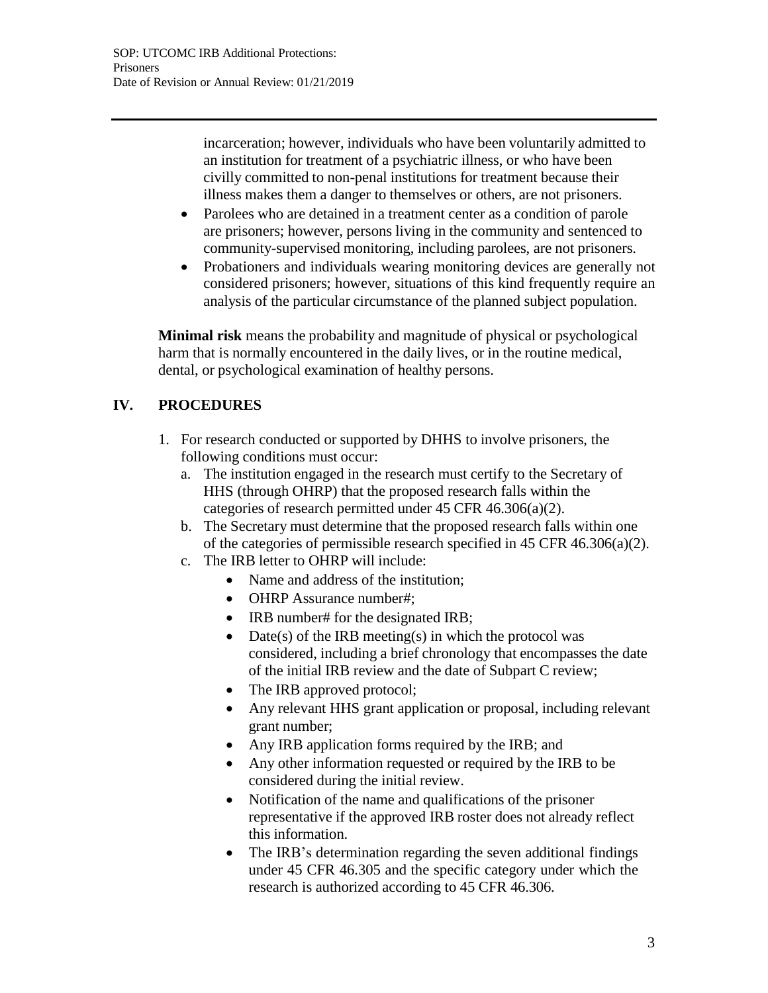incarceration; however, individuals who have been voluntarily admitted to an institution for treatment of a psychiatric illness, or who have been civilly committed to non-penal institutions for treatment because their illness makes them a danger to themselves or others, are not prisoners.

- Parolees who are detained in a treatment center as a condition of parole are prisoners; however, persons living in the community and sentenced to community-supervised monitoring, including parolees, are not prisoners.
- Probationers and individuals wearing monitoring devices are generally not considered prisoners; however, situations of this kind frequently require an analysis of the particular circumstance of the planned subject population.

**Minimal risk** means the probability and magnitude of physical or psychological harm that is normally encountered in the daily lives, or in the routine medical, dental, or psychological examination of healthy persons.

# **IV. PROCEDURES**

- 1. For research conducted or supported by DHHS to involve prisoners, the following conditions must occur:
	- a. The institution engaged in the research must certify to the Secretary of HHS (through OHRP) that the proposed research falls within the categories of research permitted under 45 CFR 46.306(a)(2).
	- b. The Secretary must determine that the proposed research falls within one of the categories of permissible research specified in 45 CFR 46.306(a)(2).
	- c. The IRB letter to OHRP will include:
		- Name and address of the institution;
		- OHRP Assurance number#;
		- IRB number# for the designated IRB;
		- Date(s) of the IRB meeting(s) in which the protocol was considered, including a brief chronology that encompasses the date of the initial IRB review and the date of Subpart C review;
		- The IRB approved protocol;
		- Any relevant HHS grant application or proposal, including relevant grant number;
		- Any IRB application forms required by the IRB; and
		- Any other information requested or required by the IRB to be considered during the initial review.
		- Notification of the name and qualifications of the prisoner representative if the approved IRB roster does not already reflect this information.
		- The IRB's determination regarding the seven additional findings under 45 CFR 46.305 and the specific category under which the research is authorized according to 45 CFR 46.306.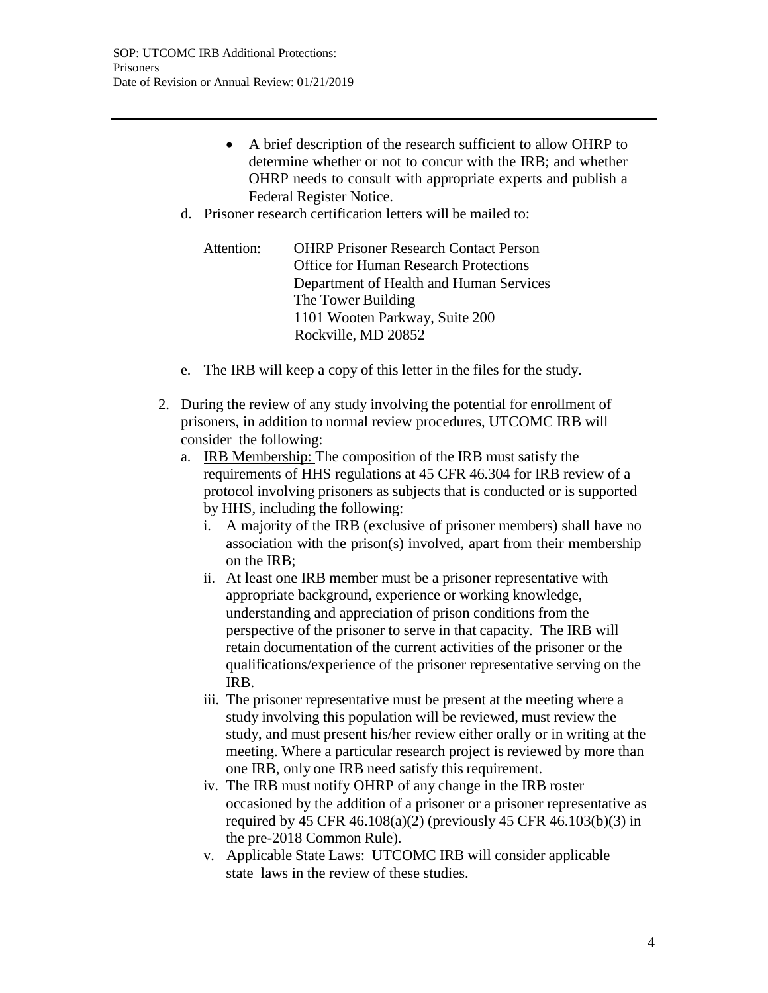- A brief description of the research sufficient to allow OHRP to determine whether or not to concur with the IRB; and whether OHRP needs to consult with appropriate experts and publish a Federal Register Notice.
- d. Prisoner research certification letters will be mailed to:

Attention: OHRP Prisoner Research Contact Person Office for Human Research Protections Department of Health and Human Services The Tower Building 1101 Wooten Parkway, Suite 200 Rockville, MD 20852

- e. The IRB will keep a copy of this letter in the files for the study.
- 2. During the review of any study involving the potential for enrollment of prisoners, in addition to normal review procedures, UTCOMC IRB will consider the following:
	- a. IRB Membership: The composition of the IRB must satisfy the requirements of HHS regulations at 45 CFR 46.304 for IRB review of a protocol involving prisoners as subjects that is conducted or is supported by HHS, including the following:
		- i. A majority of the IRB (exclusive of prisoner members) shall have no association with the prison(s) involved, apart from their membership on the IRB;
		- ii. At least one IRB member must be a prisoner representative with appropriate background, experience or working knowledge, understanding and appreciation of prison conditions from the perspective of the prisoner to serve in that capacity. The IRB will retain documentation of the current activities of the prisoner or the qualifications/experience of the prisoner representative serving on the IRB.
		- iii. The prisoner representative must be present at the meeting where a study involving this population will be reviewed, must review the study, and must present his/her review either orally or in writing at the meeting. Where a particular research project is reviewed by more than one IRB, only one IRB need satisfy this requirement.
		- iv. The IRB must notify OHRP of any change in the IRB roster occasioned by the addition of a prisoner or a prisoner representative as required by 45 CFR 46.108(a)(2) (previously 45 CFR 46.103(b)(3) in the pre-2018 Common Rule).
		- v. Applicable State Laws: UTCOMC IRB will consider applicable state laws in the review of these studies.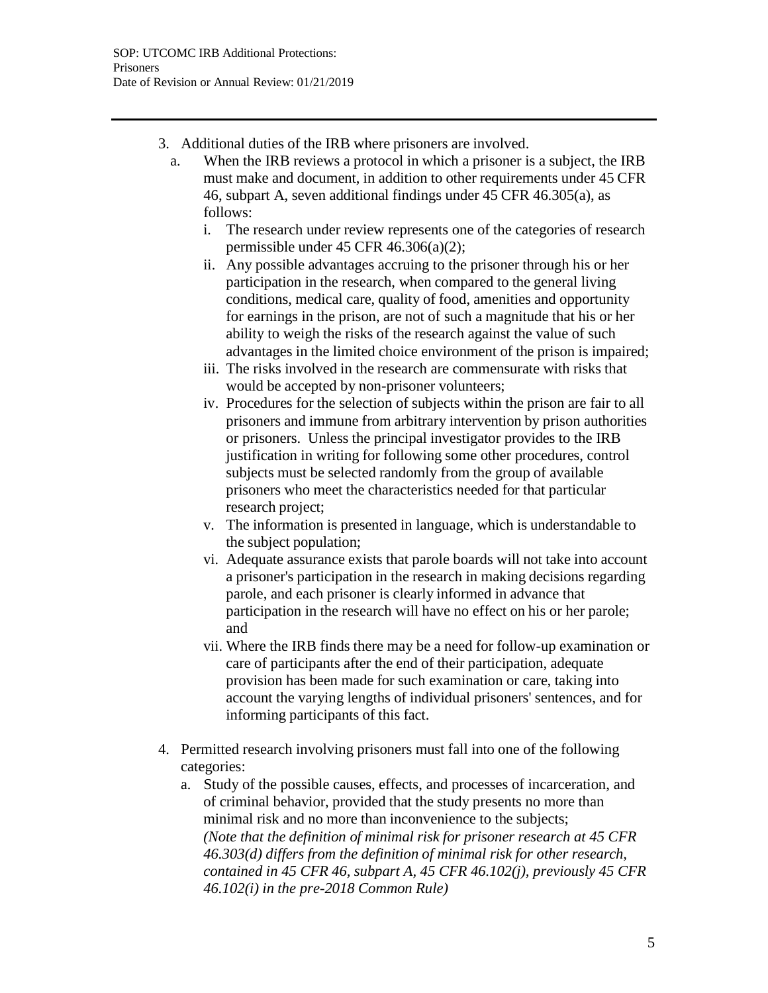- 3. Additional duties of the IRB where prisoners are involved.
	- a. When the IRB reviews a protocol in which a prisoner is a subject, the IRB must make and document, in addition to other requirements under 45 CFR 46, subpart A, seven additional findings under 45 CFR 46.305(a), as follows:
		- i. The research under review represents one of the categories of research permissible under 45 CFR 46.306(a)(2);
		- ii. Any possible advantages accruing to the prisoner through his or her participation in the research, when compared to the general living conditions, medical care, quality of food, amenities and opportunity for earnings in the prison, are not of such a magnitude that his or her ability to weigh the risks of the research against the value of such advantages in the limited choice environment of the prison is impaired;
		- iii. The risks involved in the research are commensurate with risks that would be accepted by non-prisoner volunteers;
		- iv. Procedures for the selection of subjects within the prison are fair to all prisoners and immune from arbitrary intervention by prison authorities or prisoners. Unless the principal investigator provides to the IRB justification in writing for following some other procedures, control subjects must be selected randomly from the group of available prisoners who meet the characteristics needed for that particular research project;
		- v. The information is presented in language, which is understandable to the subject population;
		- vi. Adequate assurance exists that parole boards will not take into account a prisoner's participation in the research in making decisions regarding parole, and each prisoner is clearly informed in advance that participation in the research will have no effect on his or her parole; and
		- vii. Where the IRB finds there may be a need for follow-up examination or care of participants after the end of their participation, adequate provision has been made for such examination or care, taking into account the varying lengths of individual prisoners' sentences, and for informing participants of this fact.
- 4. Permitted research involving prisoners must fall into one of the following categories:
	- a. Study of the possible causes, effects, and processes of incarceration, and of criminal behavior, provided that the study presents no more than minimal risk and no more than inconvenience to the subjects; *(Note that the definition of minimal risk for prisoner research at 45 CFR 46.303(d) differs from the definition of minimal risk for other research, contained in 45 CFR 46, subpart A, 45 CFR 46.102(j), previously 45 CFR 46.102(i) in the pre-2018 Common Rule)*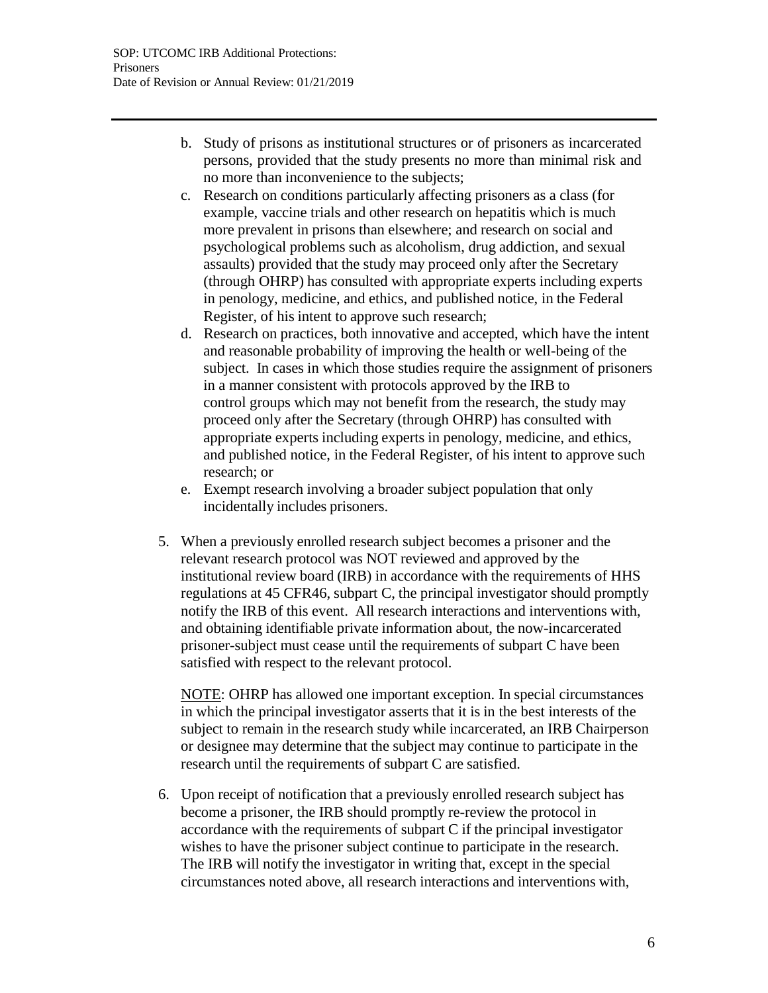- b. Study of prisons as institutional structures or of prisoners as incarcerated persons, provided that the study presents no more than minimal risk and no more than inconvenience to the subjects;
- c. Research on conditions particularly affecting prisoners as a class (for example, vaccine trials and other research on hepatitis which is much more prevalent in prisons than elsewhere; and research on social and psychological problems such as alcoholism, drug addiction, and sexual assaults) provided that the study may proceed only after the Secretary (through OHRP) has consulted with appropriate experts including experts in penology, medicine, and ethics, and published notice, in the Federal Register, of his intent to approve such research;
- d. Research on practices, both innovative and accepted, which have the intent and reasonable probability of improving the health or well-being of the subject. In cases in which those studies require the assignment of prisoners in a manner consistent with protocols approved by the IRB to control groups which may not benefit from the research, the study may proceed only after the Secretary (through OHRP) has consulted with appropriate experts including experts in penology, medicine, and ethics, and published notice, in the Federal Register, of his intent to approve such research; or
- e. Exempt research involving a broader subject population that only incidentally includes prisoners.
- 5. When a previously enrolled research subject becomes a prisoner and the relevant research protocol was NOT reviewed and approved by the institutional review board (IRB) in accordance with the requirements of HHS regulations at 45 CFR46, subpart C, the principal investigator should promptly notify the IRB of this event. All research interactions and interventions with, and obtaining identifiable private information about, the now-incarcerated prisoner-subject must cease until the requirements of subpart C have been satisfied with respect to the relevant protocol.

NOTE: OHRP has allowed one important exception. In special circumstances in which the principal investigator asserts that it is in the best interests of the subject to remain in the research study while incarcerated, an IRB Chairperson or designee may determine that the subject may continue to participate in the research until the requirements of subpart C are satisfied.

6. Upon receipt of notification that a previously enrolled research subject has become a prisoner, the IRB should promptly re-review the protocol in accordance with the requirements of subpart C if the principal investigator wishes to have the prisoner subject continue to participate in the research. The IRB will notify the investigator in writing that, except in the special circumstances noted above, all research interactions and interventions with,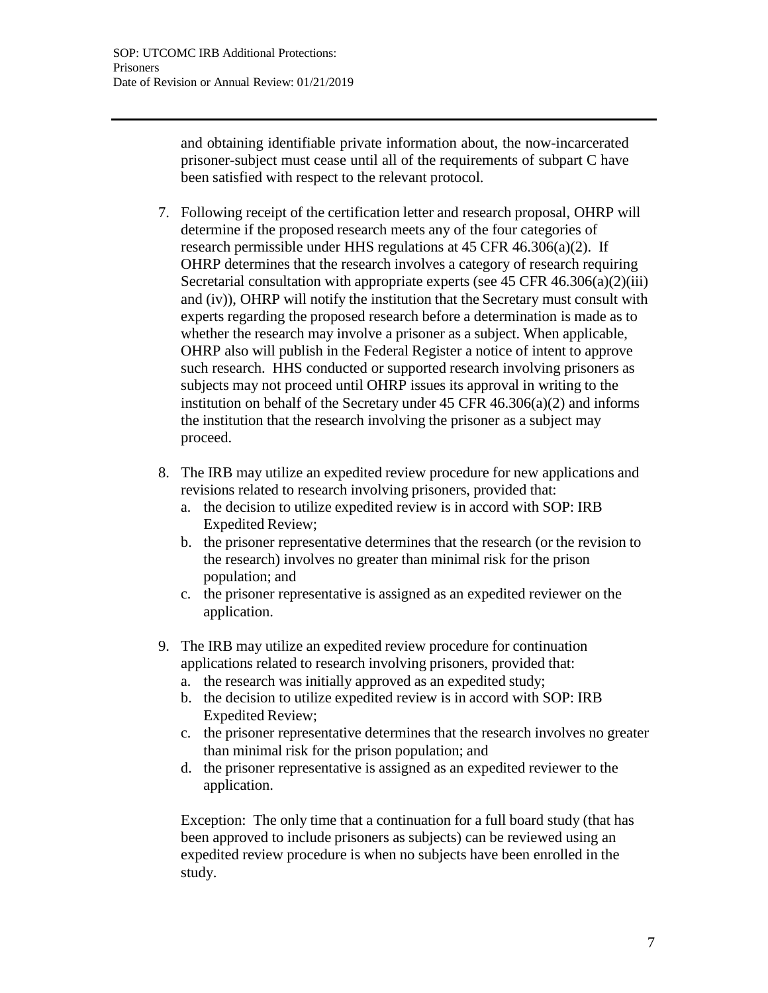and obtaining identifiable private information about, the now-incarcerated prisoner-subject must cease until all of the requirements of subpart C have been satisfied with respect to the relevant protocol.

- 7. Following receipt of the certification letter and research proposal, OHRP will determine if the proposed research meets any of the four categories of research permissible under HHS regulations at 45 CFR 46.306(a)(2). If OHRP determines that the research involves a category of research requiring Secretarial consultation with appropriate experts (see 45 CFR 46.306(a)(2)(iii) and (iv)), OHRP will notify the institution that the Secretary must consult with experts regarding the proposed research before a determination is made as to whether the research may involve a prisoner as a subject. When applicable, OHRP also will publish in the Federal Register a notice of intent to approve such research. HHS conducted or supported research involving prisoners as subjects may not proceed until OHRP issues its approval in writing to the institution on behalf of the Secretary under  $45$  CFR  $46.306(a)(2)$  and informs the institution that the research involving the prisoner as a subject may proceed.
- 8. The IRB may utilize an expedited review procedure for new applications and revisions related to research involving prisoners, provided that:
	- a. the decision to utilize expedited review is in accord with SOP: IRB Expedited Review;
	- b. the prisoner representative determines that the research (or the revision to the research) involves no greater than minimal risk for the prison population; and
	- c. the prisoner representative is assigned as an expedited reviewer on the application.
- 9. The IRB may utilize an expedited review procedure for continuation applications related to research involving prisoners, provided that:
	- a. the research was initially approved as an expedited study;
	- b. the decision to utilize expedited review is in accord with SOP: IRB Expedited Review;
	- c. the prisoner representative determines that the research involves no greater than minimal risk for the prison population; and
	- d. the prisoner representative is assigned as an expedited reviewer to the application.

Exception: The only time that a continuation for a full board study (that has been approved to include prisoners as subjects) can be reviewed using an expedited review procedure is when no subjects have been enrolled in the study.